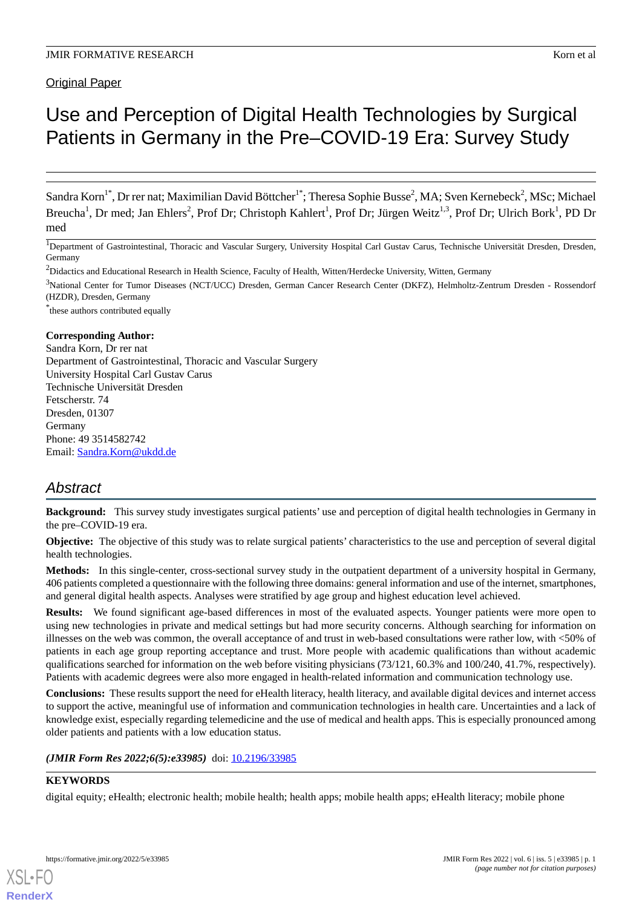Original Paper

# Use and Perception of Digital Health Technologies by Surgical Patients in Germany in the Pre–COVID-19 Era: Survey Study

Sandra Korn<sup>1\*</sup>, Dr rer nat; Maximilian David Böttcher<sup>1\*</sup>; Theresa Sophie Busse<sup>2</sup>, MA; Sven Kernebeck<sup>2</sup>, MSc; Michael Breucha<sup>1</sup>, Dr med; Jan Ehlers<sup>2</sup>, Prof Dr; Christoph Kahlert<sup>1</sup>, Prof Dr; Jürgen Weitz<sup>1,3</sup>, Prof Dr; Ulrich Bork<sup>1</sup>, PD Dr med

<sup>1</sup>Department of Gastrointestinal, Thoracic and Vascular Surgery, University Hospital Carl Gustav Carus, Technische Universität Dresden, Dresden, Germany

<sup>2</sup>Didactics and Educational Research in Health Science, Faculty of Health, Witten/Herdecke University, Witten, Germany

<sup>3</sup>National Center for Tumor Diseases (NCT/UCC) Dresden, German Cancer Research Center (DKFZ), Helmholtz-Zentrum Dresden - Rossendorf (HZDR), Dresden, Germany

\* these authors contributed equally

#### **Corresponding Author:**

Sandra Korn, Dr rer nat Department of Gastrointestinal, Thoracic and Vascular Surgery University Hospital Carl Gustav Carus Technische Universität Dresden Fetscherstr. 74 Dresden, 01307 Germany Phone: 49 3514582742 Email: [Sandra.Korn@ukdd.de](mailto:Sandra.Korn@ukdd.de)

## *Abstract*

**Background:** This survey study investigates surgical patients' use and perception of digital health technologies in Germany in the pre–COVID-19 era.

**Objective:** The objective of this study was to relate surgical patients' characteristics to the use and perception of several digital health technologies.

**Methods:** In this single-center, cross-sectional survey study in the outpatient department of a university hospital in Germany, 406 patients completed a questionnaire with the following three domains: general information and use of the internet, smartphones, and general digital health aspects. Analyses were stratified by age group and highest education level achieved.

**Results:** We found significant age-based differences in most of the evaluated aspects. Younger patients were more open to using new technologies in private and medical settings but had more security concerns. Although searching for information on illnesses on the web was common, the overall acceptance of and trust in web-based consultations were rather low, with <50% of patients in each age group reporting acceptance and trust. More people with academic qualifications than without academic qualifications searched for information on the web before visiting physicians (73/121, 60.3% and 100/240, 41.7%, respectively). Patients with academic degrees were also more engaged in health-related information and communication technology use.

**Conclusions:** These results support the need for eHealth literacy, health literacy, and available digital devices and internet access to support the active, meaningful use of information and communication technologies in health care. Uncertainties and a lack of knowledge exist, especially regarding telemedicine and the use of medical and health apps. This is especially pronounced among older patients and patients with a low education status.

*(JMIR Form Res 2022;6(5):e33985)* doi:  $10.2196/33985$ 

### **KEYWORDS**

digital equity; eHealth; electronic health; mobile health; health apps; mobile health apps; eHealth literacy; mobile phone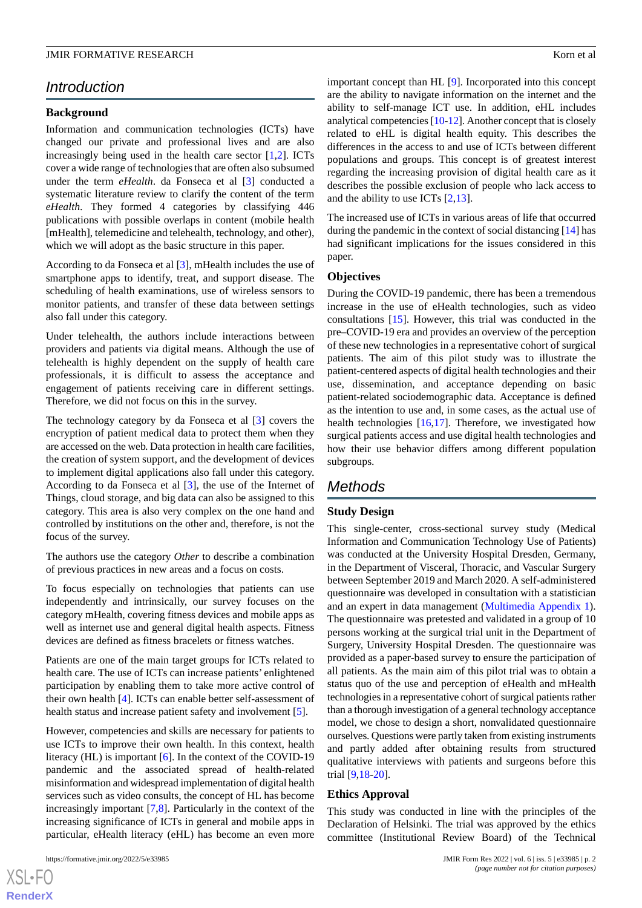## *Introduction*

#### **Background**

Information and communication technologies (ICTs) have changed our private and professional lives and are also increasingly being used in the health care sector [[1,](#page-10-0)[2](#page-10-1)]. ICTs cover a wide range of technologies that are often also subsumed under the term *eHealth*. da Fonseca et al [\[3](#page-10-2)] conducted a systematic literature review to clarify the content of the term *eHealth*. They formed 4 categories by classifying 446 publications with possible overlaps in content (mobile health [mHealth], telemedicine and telehealth, technology, and other). which we will adopt as the basic structure in this paper.

According to da Fonseca et al [[3\]](#page-10-2), mHealth includes the use of smartphone apps to identify, treat, and support disease. The scheduling of health examinations, use of wireless sensors to monitor patients, and transfer of these data between settings also fall under this category.

Under telehealth, the authors include interactions between providers and patients via digital means. Although the use of telehealth is highly dependent on the supply of health care professionals, it is difficult to assess the acceptance and engagement of patients receiving care in different settings. Therefore, we did not focus on this in the survey.

The technology category by da Fonseca et al [[3](#page-10-2)] covers the encryption of patient medical data to protect them when they are accessed on the web. Data protection in health care facilities, the creation of system support, and the development of devices to implement digital applications also fall under this category. According to da Fonseca et al [[3\]](#page-10-2), the use of the Internet of Things, cloud storage, and big data can also be assigned to this category. This area is also very complex on the one hand and controlled by institutions on the other and, therefore, is not the focus of the survey.

The authors use the category *Other* to describe a combination of previous practices in new areas and a focus on costs.

To focus especially on technologies that patients can use independently and intrinsically, our survey focuses on the category mHealth, covering fitness devices and mobile apps as well as internet use and general digital health aspects. Fitness devices are defined as fitness bracelets or fitness watches.

Patients are one of the main target groups for ICTs related to health care. The use of ICTs can increase patients' enlightened participation by enabling them to take more active control of their own health [[4\]](#page-11-0). ICTs can enable better self-assessment of health status and increase patient safety and involvement [\[5](#page-11-1)].

However, competencies and skills are necessary for patients to use ICTs to improve their own health. In this context, health literacy (HL) is important [\[6](#page-11-2)]. In the context of the COVID-19 pandemic and the associated spread of health-related misinformation and widespread implementation of digital health services such as video consults, the concept of HL has become increasingly important [[7](#page-11-3),[8\]](#page-11-4). Particularly in the context of the increasing significance of ICTs in general and mobile apps in particular, eHealth literacy (eHL) has become an even more

 $XS$  $\cdot$ FC **[RenderX](http://www.renderx.com/)** important concept than HL [[9\]](#page-11-5). Incorporated into this concept are the ability to navigate information on the internet and the ability to self-manage ICT use. In addition, eHL includes analytical competencies [\[10](#page-11-6)-[12\]](#page-11-7). Another concept that is closely related to eHL is digital health equity. This describes the differences in the access to and use of ICTs between different populations and groups. This concept is of greatest interest regarding the increasing provision of digital health care as it describes the possible exclusion of people who lack access to and the ability to use ICTs [\[2](#page-10-1),[13\]](#page-11-8).

The increased use of ICTs in various areas of life that occurred during the pandemic in the context of social distancing [\[14](#page-11-9)] has had significant implications for the issues considered in this paper.

#### **Objectives**

During the COVID-19 pandemic, there has been a tremendous increase in the use of eHealth technologies, such as video consultations [[15\]](#page-11-10). However, this trial was conducted in the pre–COVID-19 era and provides an overview of the perception of these new technologies in a representative cohort of surgical patients. The aim of this pilot study was to illustrate the patient-centered aspects of digital health technologies and their use, dissemination, and acceptance depending on basic patient-related sociodemographic data. Acceptance is defined as the intention to use and, in some cases, as the actual use of health technologies [\[16](#page-11-11)[,17](#page-11-12)]. Therefore, we investigated how surgical patients access and use digital health technologies and how their use behavior differs among different population subgroups.

## *Methods*

#### **Study Design**

This single-center, cross-sectional survey study (Medical Information and Communication Technology Use of Patients) was conducted at the University Hospital Dresden, Germany, in the Department of Visceral, Thoracic, and Vascular Surgery between September 2019 and March 2020. A self-administered questionnaire was developed in consultation with a statistician and an expert in data management ([Multimedia Appendix 1\)](#page-10-3). The questionnaire was pretested and validated in a group of 10 persons working at the surgical trial unit in the Department of Surgery, University Hospital Dresden. The questionnaire was provided as a paper-based survey to ensure the participation of all patients. As the main aim of this pilot trial was to obtain a status quo of the use and perception of eHealth and mHealth technologies in a representative cohort of surgical patients rather than a thorough investigation of a general technology acceptance model, we chose to design a short, nonvalidated questionnaire ourselves. Questions were partly taken from existing instruments and partly added after obtaining results from structured qualitative interviews with patients and surgeons before this trial [[9,](#page-11-5)[18](#page-11-13)[-20](#page-11-14)].

#### **Ethics Approval**

This study was conducted in line with the principles of the Declaration of Helsinki. The trial was approved by the ethics committee (Institutional Review Board) of the Technical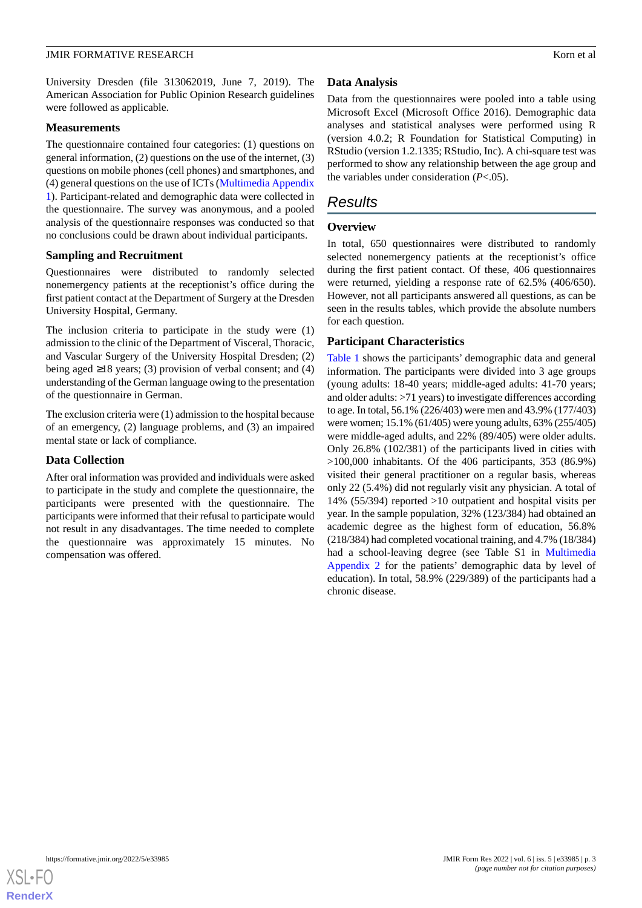University Dresden (file 313062019, June 7, 2019). The American Association for Public Opinion Research guidelines were followed as applicable.

#### **Measurements**

The questionnaire contained four categories: (1) questions on general information, (2) questions on the use of the internet, (3) questions on mobile phones (cell phones) and smartphones, and (4) general questions on the use of ICTs ([Multimedia Appendix](#page-10-3) [1\)](#page-10-3). Participant-related and demographic data were collected in the questionnaire. The survey was anonymous, and a pooled analysis of the questionnaire responses was conducted so that no conclusions could be drawn about individual participants.

#### **Sampling and Recruitment**

Questionnaires were distributed to randomly selected nonemergency patients at the receptionist's office during the first patient contact at the Department of Surgery at the Dresden University Hospital, Germany.

The inclusion criteria to participate in the study were (1) admission to the clinic of the Department of Visceral, Thoracic, and Vascular Surgery of the University Hospital Dresden; (2) being aged ≥18 years; (3) provision of verbal consent; and (4) understanding of the German language owing to the presentation of the questionnaire in German.

The exclusion criteria were (1) admission to the hospital because of an emergency, (2) language problems, and (3) an impaired mental state or lack of compliance.

#### **Data Collection**

After oral information was provided and individuals were asked to participate in the study and complete the questionnaire, the participants were presented with the questionnaire. The participants were informed that their refusal to participate would not result in any disadvantages. The time needed to complete the questionnaire was approximately 15 minutes. No compensation was offered.

## **Data Analysis**

Data from the questionnaires were pooled into a table using Microsoft Excel (Microsoft Office 2016). Demographic data analyses and statistical analyses were performed using R (version 4.0.2; R Foundation for Statistical Computing) in RStudio (version 1.2.1335; RStudio, Inc). A chi-square test was performed to show any relationship between the age group and the variables under consideration (*P*<.05).

## *Results*

#### **Overview**

In total, 650 questionnaires were distributed to randomly selected nonemergency patients at the receptionist's office during the first patient contact. Of these, 406 questionnaires were returned, yielding a response rate of 62.5% (406/650). However, not all participants answered all questions, as can be seen in the results tables, which provide the absolute numbers for each question.

#### **Participant Characteristics**

[Table 1](#page-3-0) shows the participants' demographic data and general information. The participants were divided into 3 age groups (young adults: 18-40 years; middle-aged adults: 41-70 years; and older adults: >71 years) to investigate differences according to age. In total, 56.1% (226/403) were men and 43.9% (177/403) were women; 15.1% (61/405) were young adults, 63% (255/405) were middle-aged adults, and 22% (89/405) were older adults. Only 26.8% (102/381) of the participants lived in cities with >100,000 inhabitants. Of the 406 participants, 353 (86.9%) visited their general practitioner on a regular basis, whereas only 22 (5.4%) did not regularly visit any physician. A total of 14% (55/394) reported >10 outpatient and hospital visits per year. In the sample population, 32% (123/384) had obtained an academic degree as the highest form of education, 56.8% (218/384) had completed vocational training, and 4.7% (18/384) had a school-leaving degree (see Table S1 in [Multimedia](#page-10-4) [Appendix 2](#page-10-4) for the patients' demographic data by level of education). In total, 58.9% (229/389) of the participants had a chronic disease.

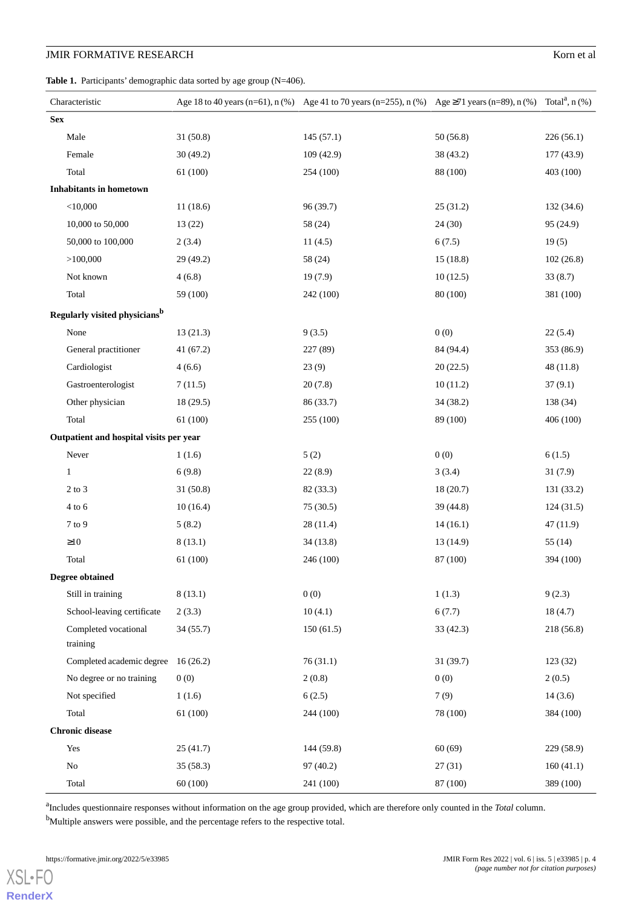## **JMIR FORMATIVE RESEARCH** Korn et al.

<span id="page-3-0"></span>Table 1. Participants' demographic data sorted by age group (N=406).

| Characteristic                            |           | Age 18 to 40 years (n=61), n (%) Age 41 to 70 years (n=255), n (%) Age $\geq$ 71 years (n=89), n (%) Total <sup>a</sup> , n (%) |           |            |
|-------------------------------------------|-----------|---------------------------------------------------------------------------------------------------------------------------------|-----------|------------|
| <b>Sex</b>                                |           |                                                                                                                                 |           |            |
| Male                                      | 31 (50.8) | 145(57.1)                                                                                                                       | 50(56.8)  | 226(56.1)  |
| Female                                    | 30(49.2)  | 109 (42.9)                                                                                                                      | 38 (43.2) | 177 (43.9) |
| Total                                     | 61(100)   | 254 (100)                                                                                                                       | 88 (100)  | 403 (100)  |
| <b>Inhabitants in hometown</b>            |           |                                                                                                                                 |           |            |
| $<$ 10,000                                | 11(18.6)  | 96 (39.7)                                                                                                                       | 25(31.2)  | 132 (34.6) |
| 10,000 to 50,000                          | 13(22)    | 58 (24)                                                                                                                         | 24 (30)   | 95 (24.9)  |
| 50,000 to 100,000                         | 2(3.4)    | 11(4.5)                                                                                                                         | 6(7.5)    | 19(5)      |
| >100,000                                  | 29 (49.2) | 58 (24)                                                                                                                         | 15(18.8)  | 102(26.8)  |
| Not known                                 | 4(6.8)    | 19(7.9)                                                                                                                         | 10(12.5)  | 33(8.7)    |
| Total                                     | 59 (100)  | 242 (100)                                                                                                                       | 80 (100)  | 381 (100)  |
| Regularly visited physicians <sup>b</sup> |           |                                                                                                                                 |           |            |
| None                                      | 13(21.3)  | 9(3.5)                                                                                                                          | 0(0)      | 22(5.4)    |
| General practitioner                      | 41(67.2)  | 227 (89)                                                                                                                        | 84 (94.4) | 353 (86.9) |
| Cardiologist                              | 4(6.6)    | 23(9)                                                                                                                           | 20(22.5)  | 48 (11.8)  |
| Gastroenterologist                        | 7(11.5)   | 20(7.8)                                                                                                                         | 10(11.2)  | 37(9.1)    |
| Other physician                           | 18(29.5)  | 86 (33.7)                                                                                                                       | 34 (38.2) | 138 (34)   |
| Total                                     | 61(100)   | 255 (100)                                                                                                                       | 89 (100)  | 406 (100)  |
| Outpatient and hospital visits per year   |           |                                                                                                                                 |           |            |
| Never                                     | 1(1.6)    | 5(2)                                                                                                                            | 0(0)      | 6(1.5)     |
| $\mathbf{1}$                              | 6(9.8)    | 22(8.9)                                                                                                                         | 3(3.4)    | 31(7.9)    |
| $2$ to $3$                                | 31 (50.8) | 82 (33.3)                                                                                                                       | 18(20.7)  | 131 (33.2) |
| $4$ to $6$                                | 10(16.4)  | 75 (30.5)                                                                                                                       | 39 (44.8) | 124(31.5)  |
| 7 to 9                                    | 5(8.2)    | 28(11.4)                                                                                                                        | 14(16.1)  | 47 (11.9)  |
| $\geq$ 10                                 | 8(13.1)   | 34(13.8)                                                                                                                        | 13 (14.9) | 55(14)     |
| Total                                     | 61 (100)  | 246 (100)                                                                                                                       | 87 (100)  | 394 (100)  |
| <b>Degree obtained</b>                    |           |                                                                                                                                 |           |            |
| Still in training                         | 8(13.1)   | 0(0)                                                                                                                            | 1(1.3)    | 9(2.3)     |
| School-leaving certificate                | 2(3.3)    | 10(4.1)                                                                                                                         | 6(7.7)    | 18(4.7)    |
| Completed vocational<br>training          | 34(55.7)  | 150(61.5)                                                                                                                       | 33(42.3)  | 218 (56.8) |
| Completed academic degree                 | 16(26.2)  | 76(31.1)                                                                                                                        | 31(39.7)  | 123(32)    |
| No degree or no training                  | 0(0)      | 2(0.8)                                                                                                                          | 0(0)      | 2(0.5)     |
| Not specified                             | 1(1.6)    | 6(2.5)                                                                                                                          | 7(9)      | 14(3.6)    |
| Total                                     | 61(100)   | 244 (100)                                                                                                                       | 78 (100)  | 384 (100)  |
| <b>Chronic disease</b>                    |           |                                                                                                                                 |           |            |
| Yes                                       | 25(41.7)  | 144 (59.8)                                                                                                                      | 60(69)    | 229 (58.9) |
| No                                        | 35(58.3)  | 97 (40.2)                                                                                                                       | 27(31)    | 160(41.1)  |
| Total                                     | 60(100)   | 241 (100)                                                                                                                       | 87 (100)  | 389 (100)  |

a Includes questionnaire responses without information on the age group provided, which are therefore only counted in the *Total* column.

<sup>b</sup>Multiple answers were possible, and the percentage refers to the respective total.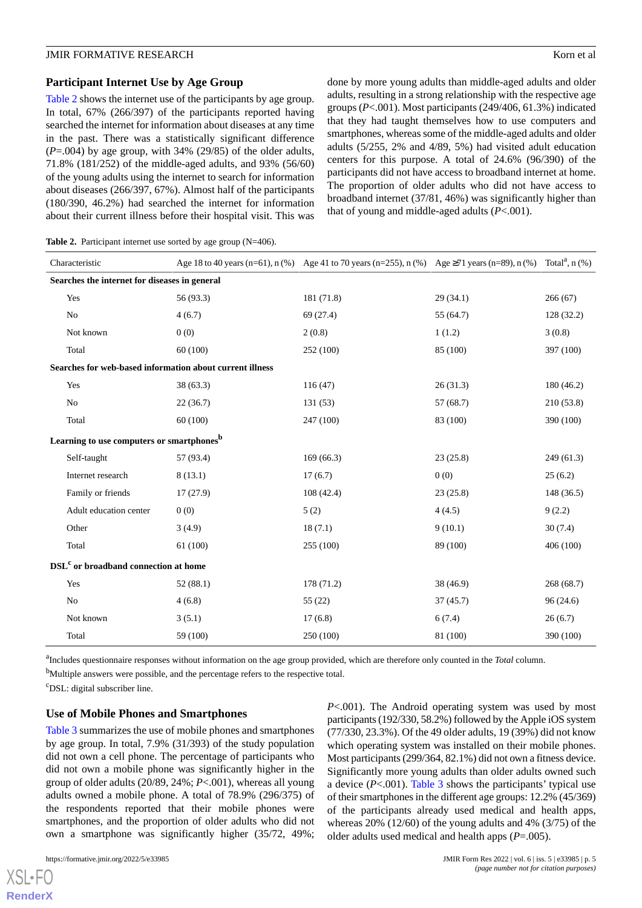#### **Participant Internet Use by Age Group**

[Table 2](#page-4-0) shows the internet use of the participants by age group. In total, 67% (266/397) of the participants reported having searched the internet for information about diseases at any time in the past. There was a statistically significant difference  $(P=.004)$  by age group, with 34% (29/85) of the older adults, 71.8% (181/252) of the middle-aged adults, and 93% (56/60) of the young adults using the internet to search for information about diseases (266/397, 67%). Almost half of the participants (180/390, 46.2%) had searched the internet for information about their current illness before their hospital visit. This was done by more young adults than middle-aged adults and older adults, resulting in a strong relationship with the respective age groups (*P*<.001). Most participants (249/406, 61.3%) indicated that they had taught themselves how to use computers and smartphones, whereas some of the middle-aged adults and older adults (5/255, 2% and 4/89, 5%) had visited adult education centers for this purpose. A total of 24.6% (96/390) of the participants did not have access to broadband internet at home. The proportion of older adults who did not have access to broadband internet (37/81, 46%) was significantly higher than that of young and middle-aged adults (*P*<.001).

<span id="page-4-0"></span>Table 2. Participant internet use sorted by age group (N=406).

| Characteristic                                        |                        |                                                          | Age 18 to 40 years (n=61), n (%) Age 41 to 70 years (n=255), n (%) Age $\geq$ 71 years (n=89), n (%) |           | Total <sup>a</sup> , $n$ (%) |  |
|-------------------------------------------------------|------------------------|----------------------------------------------------------|------------------------------------------------------------------------------------------------------|-----------|------------------------------|--|
| Searches the internet for diseases in general         |                        |                                                          |                                                                                                      |           |                              |  |
|                                                       | Yes                    | 56 (93.3)                                                | 181 (71.8)                                                                                           | 29(34.1)  | 266(67)                      |  |
|                                                       | No                     | 4(6.7)                                                   | 69 (27.4)                                                                                            | 55 (64.7) | 128(32.2)                    |  |
|                                                       | Not known              | 0(0)                                                     | 2(0.8)                                                                                               | 1(1.2)    | 3(0.8)                       |  |
|                                                       | Total                  | 60(100)                                                  | 252 (100)                                                                                            | 85 (100)  | 397 (100)                    |  |
|                                                       |                        | Searches for web-based information about current illness |                                                                                                      |           |                              |  |
|                                                       | Yes                    | 38(63.3)                                                 | 116(47)                                                                                              | 26(31.3)  | 180(46.2)                    |  |
|                                                       | No                     | 22(36.7)                                                 | 131(53)                                                                                              | 57 (68.7) | 210(53.8)                    |  |
|                                                       | Total                  | 60(100)                                                  | 247 (100)                                                                                            | 83 (100)  | 390 (100)                    |  |
| Learning to use computers or smartphones <sup>b</sup> |                        |                                                          |                                                                                                      |           |                              |  |
|                                                       | Self-taught            | 57 (93.4)                                                | 169(66.3)                                                                                            | 23(25.8)  | 249(61.3)                    |  |
|                                                       | Internet research      | 8(13.1)                                                  | 17(6.7)                                                                                              | 0(0)      | 25(6.2)                      |  |
|                                                       | Family or friends      | 17(27.9)                                                 | 108(42.4)                                                                                            | 23(25.8)  | 148 (36.5)                   |  |
|                                                       | Adult education center | 0(0)                                                     | 5(2)                                                                                                 | 4(4.5)    | 9(2.2)                       |  |
|                                                       | Other                  | 3(4.9)                                                   | 18(7.1)                                                                                              | 9(10.1)   | 30(7.4)                      |  |
|                                                       | Total                  | 61(100)                                                  | 255 (100)                                                                                            | 89 (100)  | 406 (100)                    |  |
| DSL <sup>c</sup> or broadband connection at home      |                        |                                                          |                                                                                                      |           |                              |  |
|                                                       | Yes                    | 52(88.1)                                                 | 178 (71.2)                                                                                           | 38(46.9)  | 268(68.7)                    |  |
|                                                       | No                     | 4(6.8)                                                   | 55(22)                                                                                               | 37(45.7)  | 96(24.6)                     |  |
|                                                       | Not known              | 3(5.1)                                                   | 17(6.8)                                                                                              | 6(7.4)    | 26(6.7)                      |  |
|                                                       | Total                  | 59 (100)                                                 | 250 (100)                                                                                            | 81 (100)  | 390 (100)                    |  |

a Includes questionnaire responses without information on the age group provided, which are therefore only counted in the *Total* column.

<sup>b</sup>Multiple answers were possible, and the percentage refers to the respective total.

<sup>c</sup>DSL: digital subscriber line.

#### **Use of Mobile Phones and Smartphones**

[Table 3](#page-5-0) summarizes the use of mobile phones and smartphones by age group. In total, 7.9% (31/393) of the study population did not own a cell phone. The percentage of participants who did not own a mobile phone was significantly higher in the group of older adults (20/89, 24%; *P*<.001), whereas all young adults owned a mobile phone. A total of 78.9% (296/375) of the respondents reported that their mobile phones were smartphones, and the proportion of older adults who did not own a smartphone was significantly higher (35/72, 49%;

participants (192/330, 58.2%) followed by the Apple iOS system (77/330, 23.3%). Of the 49 older adults, 19 (39%) did not know which operating system was installed on their mobile phones. Most participants (299/364, 82.1%) did not own a fitness device. Significantly more young adults than older adults owned such a device  $(P<.001)$ . [Table 3](#page-5-0) shows the participants' typical use of their smartphones in the different age groups: 12.2% (45/369) of the participants already used medical and health apps, whereas 20% (12/60) of the young adults and 4% (3/75) of the older adults used medical and health apps (*P*=.005).

*P*<.001). The Android operating system was used by most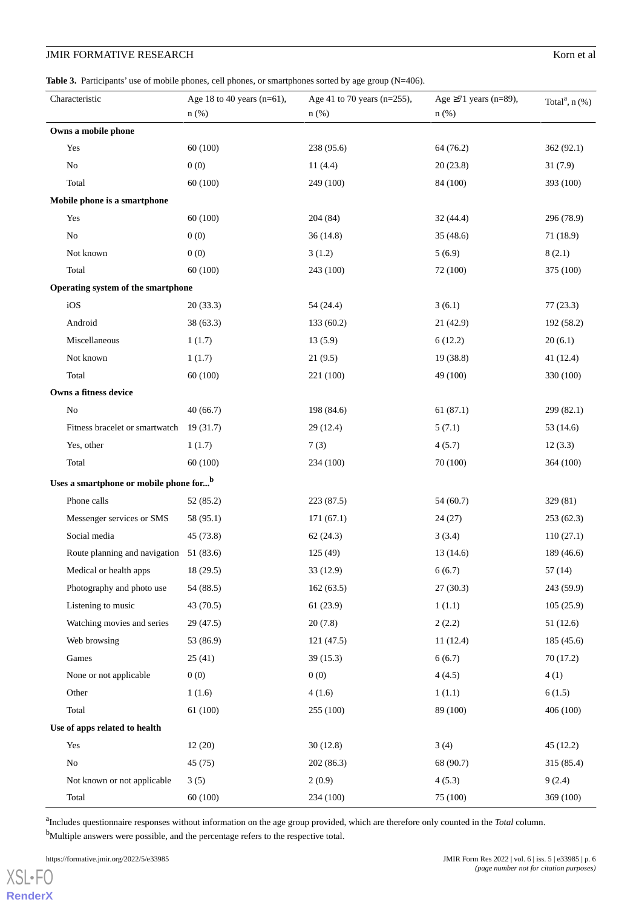## **JMIR FORMATIVE RESEARCH** Korn et al.

#### <span id="page-5-0"></span>Table 3. Participants' use of mobile phones, cell phones, or smartphones sorted by age group (N=406).

|                                                    | Characteristic                           | Age 18 to 40 years ( $n=61$ ),<br>$n$ (%) | Age 41 to 70 years ( $n=255$ ),<br>$n$ (%) | Age $\geq$ 71 years (n=89),<br>$n$ (%) | Total <sup>a</sup> , $n$ (%) |
|----------------------------------------------------|------------------------------------------|-------------------------------------------|--------------------------------------------|----------------------------------------|------------------------------|
|                                                    | Owns a mobile phone                      |                                           |                                            |                                        |                              |
|                                                    | Yes                                      | 60(100)                                   | 238 (95.6)                                 | 64 (76.2)                              | 362(92.1)                    |
|                                                    | $\rm No$                                 | 0(0)                                      | 11(4.4)                                    | 20(23.8)                               | 31(7.9)                      |
|                                                    | Total                                    | 60(100)                                   | 249 (100)                                  | 84 (100)                               | 393 (100)                    |
|                                                    | Mobile phone is a smartphone             |                                           |                                            |                                        |                              |
|                                                    | Yes                                      | 60(100)                                   | 204 (84)                                   | 32(44.4)                               | 296 (78.9)                   |
|                                                    | No                                       | 0(0)                                      | 36(14.8)                                   | 35(48.6)                               | 71 (18.9)                    |
|                                                    | Not known                                | 0(0)                                      | 3(1.2)                                     | 5(6.9)                                 | 8(2.1)                       |
|                                                    | Total                                    | 60(100)                                   | 243 (100)                                  | 72 (100)                               | 375 (100)                    |
|                                                    | Operating system of the smartphone       |                                           |                                            |                                        |                              |
|                                                    | iOS                                      | 20(33.3)                                  | 54 (24.4)                                  | 3(6.1)                                 | 77(23.3)                     |
|                                                    | Android                                  | 38 (63.3)                                 | 133(60.2)                                  | 21(42.9)                               | 192 (58.2)                   |
|                                                    | Miscellaneous                            | 1(1.7)                                    | 13(5.9)                                    | 6(12.2)                                | 20(6.1)                      |
|                                                    | Not known                                | 1(1.7)                                    | 21(9.5)                                    | 19(38.8)                               | 41(12.4)                     |
|                                                    | Total                                    | 60(100)                                   | 221 (100)                                  | 49 (100)                               | 330 (100)                    |
|                                                    | Owns a fitness device                    |                                           |                                            |                                        |                              |
|                                                    | No                                       | 40(66.7)                                  | 198 (84.6)                                 | 61(87.1)                               | 299 (82.1)                   |
|                                                    | Fitness bracelet or smartwatch 19 (31.7) |                                           | 29(12.4)                                   | 5(7.1)                                 | 53 (14.6)                    |
|                                                    | Yes, other                               | 1(1.7)                                    | 7(3)                                       | 4(5.7)                                 | 12(3.3)                      |
|                                                    | Total                                    | 60(100)                                   | 234 (100)                                  | 70 (100)                               | 364 (100)                    |
| Uses a smartphone or mobile phone for <sup>b</sup> |                                          |                                           |                                            |                                        |                              |
|                                                    | Phone calls                              | 52(85.2)                                  | 223 (87.5)                                 | 54(60.7)                               | 329 (81)                     |
|                                                    | Messenger services or SMS                | 58 (95.1)                                 | 171(67.1)                                  | 24(27)                                 | 253(62.3)                    |
|                                                    | Social media                             | 45 (73.8)                                 | 62(24.3)                                   | 3(3.4)                                 | 110(27.1)                    |
|                                                    | Route planning and navigation 51 (83.6)  |                                           | 125(49)                                    | 13(14.6)                               | 189 (46.6)                   |
|                                                    | Medical or health apps                   | 18 (29.5)                                 | 33 (12.9)                                  | 6(6.7)                                 | 57 (14)                      |
|                                                    | Photography and photo use                | 54 (88.5)                                 | 162(63.5)                                  | 27(30.3)                               | 243 (59.9)                   |
|                                                    | Listening to music                       | 43(70.5)                                  | 61(23.9)                                   | 1(1.1)                                 | 105(25.9)                    |
|                                                    | Watching movies and series               | 29(47.5)                                  | 20(7.8)                                    | 2(2.2)                                 | 51(12.6)                     |
|                                                    | Web browsing                             | 53 (86.9)                                 | 121(47.5)                                  | 11(12.4)                               | 185 (45.6)                   |
|                                                    | Games                                    | 25(41)                                    | 39(15.3)                                   | 6(6.7)                                 | 70 (17.2)                    |
|                                                    | None or not applicable                   | 0(0)                                      | 0(0)                                       | 4(4.5)                                 | 4(1)                         |
|                                                    | Other                                    | 1(1.6)                                    | 4(1.6)                                     | 1(1.1)                                 | 6(1.5)                       |
|                                                    | Total                                    | 61 (100)                                  | 255 (100)                                  | 89 (100)                               | 406 (100)                    |
| Use of apps related to health                      |                                          |                                           |                                            |                                        |                              |
|                                                    | Yes                                      | 12(20)                                    | 30(12.8)                                   | 3(4)                                   | 45(12.2)                     |
|                                                    | $\rm No$                                 | 45(75)                                    | 202(86.3)                                  | 68 (90.7)                              | 315 (85.4)                   |
|                                                    | Not known or not applicable              | 3(5)                                      | 2(0.9)                                     | 4(5.3)                                 | 9(2.4)                       |
|                                                    | Total                                    | 60(100)                                   | 234 (100)                                  | 75 (100)                               | 369 (100)                    |

a Includes questionnaire responses without information on the age group provided, which are therefore only counted in the *Total* column.

<sup>b</sup>Multiple answers were possible, and the percentage refers to the respective total.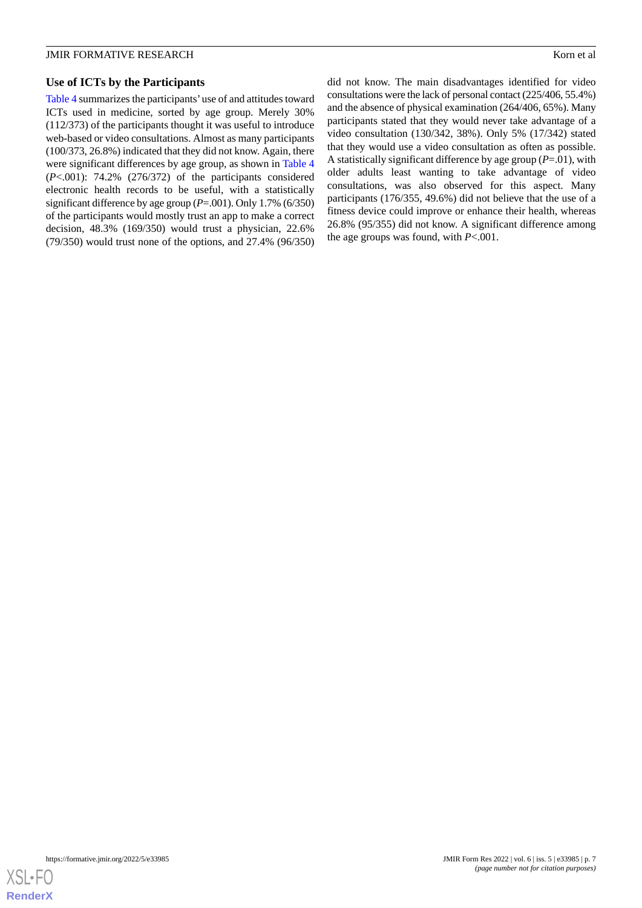#### **Use of ICTs by the Participants**

[Table 4](#page-7-0) summarizes the participants'use of and attitudes toward ICTs used in medicine, sorted by age group. Merely 30% (112/373) of the participants thought it was useful to introduce web-based or video consultations. Almost as many participants (100/373, 26.8%) indicated that they did not know. Again, there were significant differences by age group, as shown in [Table 4](#page-7-0) (*P*<.001): 74.2% (276/372) of the participants considered electronic health records to be useful, with a statistically significant difference by age group (*P*=.001). Only 1.7% (6/350) of the participants would mostly trust an app to make a correct decision, 48.3% (169/350) would trust a physician, 22.6% (79/350) would trust none of the options, and 27.4% (96/350)

did not know. The main disadvantages identified for video consultations were the lack of personal contact (225/406, 55.4%) and the absence of physical examination (264/406, 65%). Many participants stated that they would never take advantage of a video consultation (130/342, 38%). Only 5% (17/342) stated that they would use a video consultation as often as possible. A statistically significant difference by age group (*P*=.01), with older adults least wanting to take advantage of video consultations, was also observed for this aspect. Many participants (176/355, 49.6%) did not believe that the use of a fitness device could improve or enhance their health, whereas 26.8% (95/355) did not know. A significant difference among the age groups was found, with *P*<.001.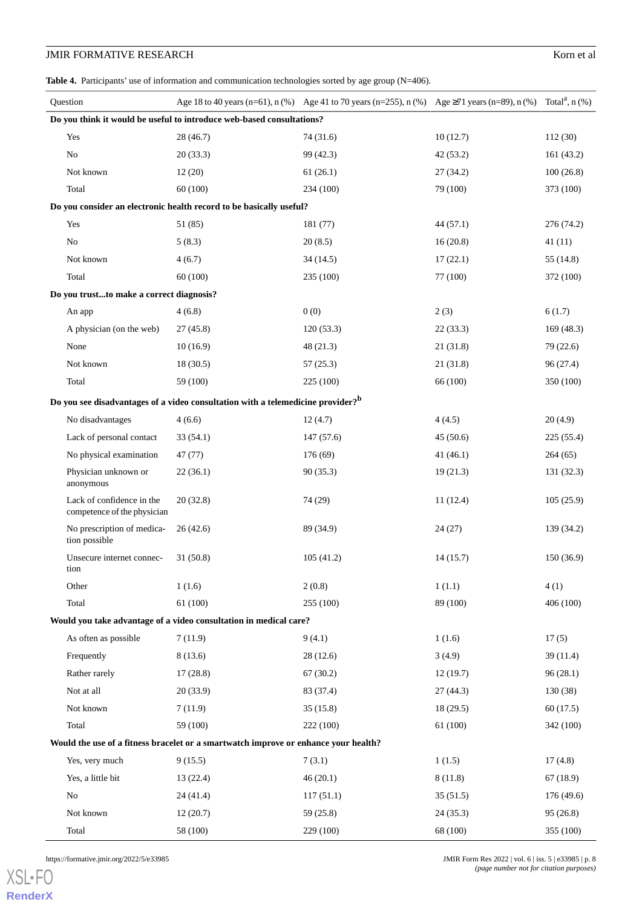## **JMIR FORMATIVE RESEARCH** Korn et al.

<span id="page-7-0"></span>Table 4. Participants' use of information and communication technologies sorted by age group (N=406).

|                                                                                     | Question                                                 |                                                                                             | Age 18 to 40 years (n=61), n (%) Age 41 to 70 years (n=255), n (%) Age $\geq$ 71 years (n=89), n (%) Total <sup>a</sup> , n (%) |           |            |  |  |
|-------------------------------------------------------------------------------------|----------------------------------------------------------|---------------------------------------------------------------------------------------------|---------------------------------------------------------------------------------------------------------------------------------|-----------|------------|--|--|
|                                                                                     |                                                          | Do you think it would be useful to introduce web-based consultations?                       |                                                                                                                                 |           |            |  |  |
|                                                                                     | Yes                                                      | 28(46.7)                                                                                    | 74(31.6)                                                                                                                        | 10(12.7)  | 112(30)    |  |  |
|                                                                                     | No                                                       | 20(33.3)                                                                                    | 99 (42.3)                                                                                                                       | 42(53.2)  | 161(43.2)  |  |  |
|                                                                                     | Not known                                                | 12(20)                                                                                      | 61(26.1)                                                                                                                        | 27(34.2)  | 100(26.8)  |  |  |
|                                                                                     | Total                                                    | 60(100)                                                                                     | 234 (100)                                                                                                                       | 79 (100)  | 373 (100)  |  |  |
| Do you consider an electronic health record to be basically useful?                 |                                                          |                                                                                             |                                                                                                                                 |           |            |  |  |
|                                                                                     | Yes                                                      | 51 (85)                                                                                     | 181 (77)                                                                                                                        | 44(57.1)  | 276 (74.2) |  |  |
|                                                                                     | No                                                       | 5(8.3)                                                                                      | 20(8.5)                                                                                                                         | 16(20.8)  | 41(11)     |  |  |
|                                                                                     | Not known                                                | 4(6.7)                                                                                      | 34(14.5)                                                                                                                        | 17(22.1)  | 55(14.8)   |  |  |
|                                                                                     | Total                                                    | 60(100)                                                                                     | 235 (100)                                                                                                                       | 77 (100)  | 372 (100)  |  |  |
|                                                                                     | Do you trustto make a correct diagnosis?                 |                                                                                             |                                                                                                                                 |           |            |  |  |
|                                                                                     | An app                                                   | 4(6.8)                                                                                      | 0(0)                                                                                                                            | 2(3)      | 6(1.7)     |  |  |
|                                                                                     | A physician (on the web)                                 | 27(45.8)                                                                                    | 120(53.3)                                                                                                                       | 22(33.3)  | 169(48.3)  |  |  |
|                                                                                     | None                                                     | 10(16.9)                                                                                    | 48 (21.3)                                                                                                                       | 21(31.8)  | 79 (22.6)  |  |  |
|                                                                                     | Not known                                                | 18(30.5)                                                                                    | 57(25.3)                                                                                                                        | 21(31.8)  | 96(27.4)   |  |  |
|                                                                                     | Total                                                    | 59 (100)                                                                                    | 225 (100)                                                                                                                       | 66 (100)  | 350 (100)  |  |  |
|                                                                                     |                                                          | Do you see disadvantages of a video consultation with a telemedicine provider? <sup>b</sup> |                                                                                                                                 |           |            |  |  |
|                                                                                     | No disadvantages                                         | 4(6.6)                                                                                      | 12(4.7)                                                                                                                         | 4(4.5)    | 20(4.9)    |  |  |
|                                                                                     | Lack of personal contact                                 | 33(54.1)                                                                                    | 147(57.6)                                                                                                                       | 45(50.6)  | 225 (55.4) |  |  |
|                                                                                     | No physical examination                                  | 47 (77)                                                                                     | 176(69)                                                                                                                         | 41(46.1)  | 264(65)    |  |  |
|                                                                                     | Physician unknown or<br>anonymous                        | 22(36.1)                                                                                    | 90(35.3)                                                                                                                        | 19(21.3)  | 131(32.3)  |  |  |
|                                                                                     | Lack of confidence in the<br>competence of the physician | 20(32.8)                                                                                    | 74 (29)                                                                                                                         | 11(12.4)  | 105(25.9)  |  |  |
|                                                                                     | No prescription of medica-<br>tion possible              | 26(42.6)                                                                                    | 89 (34.9)                                                                                                                       | 24(27)    | 139 (34.2) |  |  |
|                                                                                     | Unsecure internet connec-<br>tion                        | 31(50.8)                                                                                    | 105(41.2)                                                                                                                       | 14(15.7)  | 150(36.9)  |  |  |
|                                                                                     | Other                                                    | 1(1.6)                                                                                      | 2(0.8)                                                                                                                          | 1(1.1)    | 4(1)       |  |  |
|                                                                                     | Total                                                    | 61(100)                                                                                     | 255 (100)                                                                                                                       | 89 (100)  | 406 (100)  |  |  |
|                                                                                     |                                                          | Would you take advantage of a video consultation in medical care?                           |                                                                                                                                 |           |            |  |  |
|                                                                                     | As often as possible                                     | 7(11.9)                                                                                     | 9(4.1)                                                                                                                          | 1(1.6)    | 17(5)      |  |  |
|                                                                                     | Frequently                                               | 8(13.6)                                                                                     | 28(12.6)                                                                                                                        | 3(4.9)    | 39(11.4)   |  |  |
|                                                                                     | Rather rarely                                            | 17(28.8)                                                                                    | 67(30.2)                                                                                                                        | 12(19.7)  | 96(28.1)   |  |  |
|                                                                                     | Not at all                                               | 20(33.9)                                                                                    | 83 (37.4)                                                                                                                       | 27(44.3)  | 130(38)    |  |  |
|                                                                                     | Not known                                                | 7(11.9)                                                                                     | 35(15.8)                                                                                                                        | 18 (29.5) | 60(17.5)   |  |  |
|                                                                                     | Total                                                    | 59 (100)                                                                                    | 222 (100)                                                                                                                       | 61 (100)  | 342 (100)  |  |  |
| Would the use of a fitness bracelet or a smartwatch improve or enhance your health? |                                                          |                                                                                             |                                                                                                                                 |           |            |  |  |
|                                                                                     | Yes, very much                                           | 9(15.5)                                                                                     | 7(3.1)                                                                                                                          | 1(1.5)    | 17(4.8)    |  |  |
|                                                                                     | Yes, a little bit                                        | 13(22.4)                                                                                    | 46(20.1)                                                                                                                        | 8(11.8)   | 67(18.9)   |  |  |
|                                                                                     | No                                                       | 24(41.4)                                                                                    | 117(51.1)                                                                                                                       | 35(51.5)  | 176 (49.6) |  |  |
|                                                                                     | Not known                                                | 12(20.7)                                                                                    | 59 (25.8)                                                                                                                       | 24(35.3)  | 95(26.8)   |  |  |
|                                                                                     | Total                                                    | 58 (100)                                                                                    | 229 (100)                                                                                                                       | 68 (100)  | 355 (100)  |  |  |

[XSL](http://www.w3.org/Style/XSL)•FO **[RenderX](http://www.renderx.com/)**

https://formative.jmir.org/2022/5/e33985 JMIR Form Res 2022 | vol. 6 | iss. 5 | e33985 | p. 8 *(page number not for citation purposes)*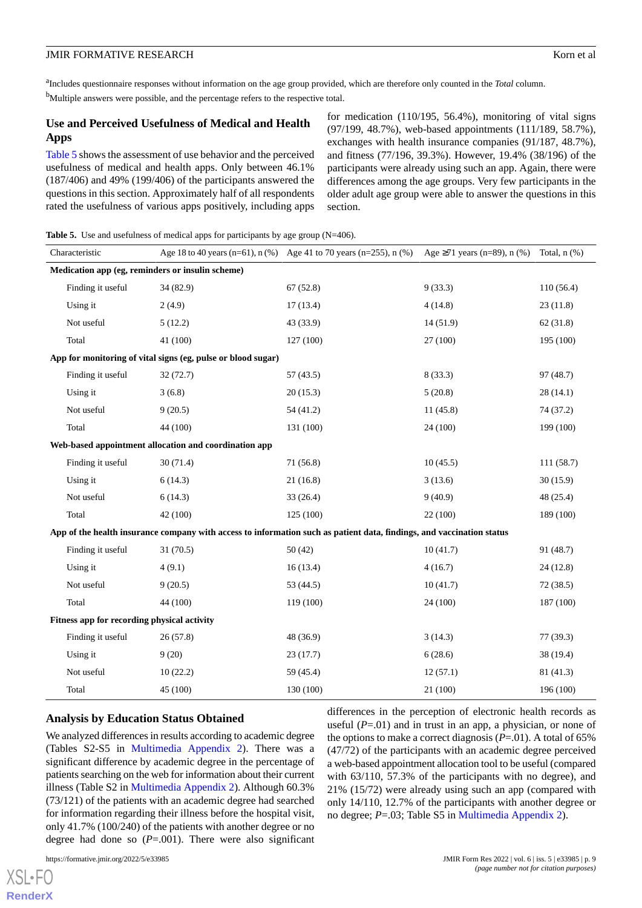a Includes questionnaire responses without information on the age group provided, which are therefore only counted in the *Total* column. <sup>b</sup>Multiple answers were possible, and the percentage refers to the respective total.

#### **Use and Perceived Usefulness of Medical and Health Apps**

[Table 5](#page-8-0) shows the assessment of use behavior and the perceived usefulness of medical and health apps. Only between 46.1% (187/406) and 49% (199/406) of the participants answered the questions in this section. Approximately half of all respondents rated the usefulness of various apps positively, including apps for medication (110/195, 56.4%), monitoring of vital signs (97/199, 48.7%), web-based appointments (111/189, 58.7%), exchanges with health insurance companies (91/187, 48.7%), and fitness (77/196, 39.3%). However, 19.4% (38/196) of the participants were already using such an app. Again, there were differences among the age groups. Very few participants in the older adult age group were able to answer the questions in this section.

<span id="page-8-0"></span>**Table 5.** Use and usefulness of medical apps for participants by age group (N=406).

| Characteristic                                                                                                        |                   |                                                              | Age 18 to 40 years (n=61), n $(\%)$ Age 41 to 70 years (n=255), n $(\%)$ | Age $\geq 71$ years (n=89), n (%) | Total, $n$ $(\%)$ |  |
|-----------------------------------------------------------------------------------------------------------------------|-------------------|--------------------------------------------------------------|--------------------------------------------------------------------------|-----------------------------------|-------------------|--|
| Medication app (eg, reminders or insulin scheme)                                                                      |                   |                                                              |                                                                          |                                   |                   |  |
|                                                                                                                       | Finding it useful | 34 (82.9)                                                    | 67 (52.8)                                                                | 9(33.3)                           | 110(56.4)         |  |
|                                                                                                                       | Using it          | 2(4.9)                                                       | 17(13.4)                                                                 | 4(14.8)                           | 23(11.8)          |  |
|                                                                                                                       | Not useful        | 5(12.2)                                                      | 43 (33.9)                                                                | 14(51.9)                          | 62(31.8)          |  |
|                                                                                                                       | Total             | 41 (100)                                                     | 127 (100)                                                                | 27 (100)                          | 195 (100)         |  |
|                                                                                                                       |                   | App for monitoring of vital signs (eg, pulse or blood sugar) |                                                                          |                                   |                   |  |
|                                                                                                                       | Finding it useful | 32(72.7)                                                     | 57(43.5)                                                                 | 8(33.3)                           | 97(48.7)          |  |
|                                                                                                                       | Using it          | 3(6.8)                                                       | 20(15.3)                                                                 | 5(20.8)                           | 28(14.1)          |  |
|                                                                                                                       | Not useful        | 9(20.5)                                                      | 54 (41.2)                                                                | 11(45.8)                          | 74 (37.2)         |  |
|                                                                                                                       | Total             | 44 (100)                                                     | 131 (100)                                                                | 24 (100)                          | 199 (100)         |  |
|                                                                                                                       |                   | Web-based appointment allocation and coordination app        |                                                                          |                                   |                   |  |
|                                                                                                                       | Finding it useful | 30(71.4)                                                     | 71(56.8)                                                                 | 10(45.5)                          | 111(58.7)         |  |
|                                                                                                                       | Using it          | 6(14.3)                                                      | 21(16.8)                                                                 | 3(13.6)                           | 30(15.9)          |  |
|                                                                                                                       | Not useful        | 6(14.3)                                                      | 33(26.4)                                                                 | 9(40.9)                           | 48(25.4)          |  |
|                                                                                                                       | Total             | 42 (100)                                                     | 125(100)                                                                 | 22(100)                           | 189 (100)         |  |
| App of the health insurance company with access to information such as patient data, findings, and vaccination status |                   |                                                              |                                                                          |                                   |                   |  |
|                                                                                                                       | Finding it useful | 31(70.5)                                                     | 50(42)                                                                   | 10(41.7)                          | 91 (48.7)         |  |
|                                                                                                                       | Using it          | 4(9.1)                                                       | 16(13.4)                                                                 | 4(16.7)                           | 24(12.8)          |  |
|                                                                                                                       | Not useful        | 9(20.5)                                                      | 53 (44.5)                                                                | 10(41.7)                          | 72(38.5)          |  |
|                                                                                                                       | Total             | 44 (100)                                                     | 119 (100)                                                                | 24 (100)                          | 187 (100)         |  |
| Fitness app for recording physical activity                                                                           |                   |                                                              |                                                                          |                                   |                   |  |
|                                                                                                                       | Finding it useful | 26(57.8)                                                     | 48 (36.9)                                                                | 3(14.3)                           | 77(39.3)          |  |
|                                                                                                                       | Using it          | 9(20)                                                        | 23(17.7)                                                                 | 6(28.6)                           | 38 (19.4)         |  |
|                                                                                                                       | Not useful        | 10(22.2)                                                     | 59 (45.4)                                                                | 12(57.1)                          | 81 (41.3)         |  |
|                                                                                                                       | Total             | 45 (100)                                                     | 130 (100)                                                                | 21(100)                           | 196 (100)         |  |

#### **Analysis by Education Status Obtained**

We analyzed differences in results according to academic degree (Tables S2-S5 in [Multimedia Appendix 2\)](#page-10-4). There was a significant difference by academic degree in the percentage of patients searching on the web for information about their current illness (Table S2 in [Multimedia Appendix 2](#page-10-4)). Although 60.3% (73/121) of the patients with an academic degree had searched for information regarding their illness before the hospital visit, only 41.7% (100/240) of the patients with another degree or no degree had done so  $(P=.001)$ . There were also significant

differences in the perception of electronic health records as useful (*P*=.01) and in trust in an app, a physician, or none of the options to make a correct diagnosis  $(P=.01)$ . A total of 65% (47/72) of the participants with an academic degree perceived a web-based appointment allocation tool to be useful (compared with 63/110, 57.3% of the participants with no degree), and 21% (15/72) were already using such an app (compared with only 14/110, 12.7% of the participants with another degree or no degree; *P*=.03; Table S5 in [Multimedia Appendix 2](#page-10-4)).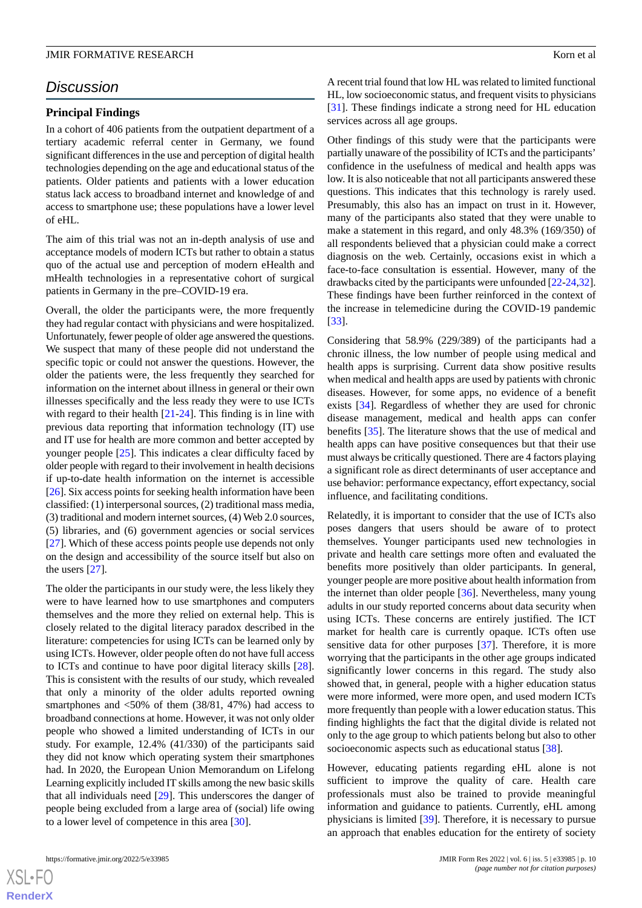## *Discussion*

#### **Principal Findings**

In a cohort of 406 patients from the outpatient department of a tertiary academic referral center in Germany, we found significant differences in the use and perception of digital health technologies depending on the age and educational status of the patients. Older patients and patients with a lower education status lack access to broadband internet and knowledge of and access to smartphone use; these populations have a lower level of eHL.

The aim of this trial was not an in-depth analysis of use and acceptance models of modern ICTs but rather to obtain a status quo of the actual use and perception of modern eHealth and mHealth technologies in a representative cohort of surgical patients in Germany in the pre–COVID-19 era.

Overall, the older the participants were, the more frequently they had regular contact with physicians and were hospitalized. Unfortunately, fewer people of older age answered the questions. We suspect that many of these people did not understand the specific topic or could not answer the questions. However, the older the patients were, the less frequently they searched for information on the internet about illness in general or their own illnesses specifically and the less ready they were to use ICTs with regard to their health  $[21-24]$  $[21-24]$  $[21-24]$  $[21-24]$ . This finding is in line with previous data reporting that information technology (IT) use and IT use for health are more common and better accepted by younger people [[25\]](#page-11-17). This indicates a clear difficulty faced by older people with regard to their involvement in health decisions if up-to-date health information on the internet is accessible [[26\]](#page-11-18). Six access points for seeking health information have been classified: (1) interpersonal sources, (2) traditional mass media, (3) traditional and modern internet sources, (4) Web 2.0 sources, (5) libraries, and (6) government agencies or social services [[27\]](#page-12-0). Which of these access points people use depends not only on the design and accessibility of the source itself but also on the users [[27\]](#page-12-0).

The older the participants in our study were, the less likely they were to have learned how to use smartphones and computers themselves and the more they relied on external help. This is closely related to the digital literacy paradox described in the literature: competencies for using ICTs can be learned only by using ICTs. However, older people often do not have full access to ICTs and continue to have poor digital literacy skills [[28\]](#page-12-1). This is consistent with the results of our study, which revealed that only a minority of the older adults reported owning smartphones and  $\langle 50\% \rangle$  of them (38/81, 47%) had access to broadband connections at home. However, it was not only older people who showed a limited understanding of ICTs in our study. For example, 12.4% (41/330) of the participants said they did not know which operating system their smartphones had. In 2020, the European Union Memorandum on Lifelong Learning explicitly included IT skills among the new basic skills that all individuals need [[29\]](#page-12-2). This underscores the danger of people being excluded from a large area of (social) life owing to a lower level of competence in this area [\[30](#page-12-3)].

A recent trial found that low HL was related to limited functional HL, low socioeconomic status, and frequent visits to physicians [[31\]](#page-12-4). These findings indicate a strong need for HL education services across all age groups.

Other findings of this study were that the participants were partially unaware of the possibility of ICTs and the participants' confidence in the usefulness of medical and health apps was low. It is also noticeable that not all participants answered these questions. This indicates that this technology is rarely used. Presumably, this also has an impact on trust in it. However, many of the participants also stated that they were unable to make a statement in this regard, and only 48.3% (169/350) of all respondents believed that a physician could make a correct diagnosis on the web. Certainly, occasions exist in which a face-to-face consultation is essential. However, many of the drawbacks cited by the participants were unfounded [[22](#page-11-19)-[24,](#page-11-16)[32\]](#page-12-5). These findings have been further reinforced in the context of the increase in telemedicine during the COVID-19 pandemic [[33\]](#page-12-6).

Considering that 58.9% (229/389) of the participants had a chronic illness, the low number of people using medical and health apps is surprising. Current data show positive results when medical and health apps are used by patients with chronic diseases. However, for some apps, no evidence of a benefit exists [\[34](#page-12-7)]. Regardless of whether they are used for chronic disease management, medical and health apps can confer benefits [\[35](#page-12-8)]. The literature shows that the use of medical and health apps can have positive consequences but that their use must always be critically questioned. There are 4 factors playing a significant role as direct determinants of user acceptance and use behavior: performance expectancy, effort expectancy, social influence, and facilitating conditions.

Relatedly, it is important to consider that the use of ICTs also poses dangers that users should be aware of to protect themselves. Younger participants used new technologies in private and health care settings more often and evaluated the benefits more positively than older participants. In general, younger people are more positive about health information from the internet than older people [[36\]](#page-12-9). Nevertheless, many young adults in our study reported concerns about data security when using ICTs. These concerns are entirely justified. The ICT market for health care is currently opaque. ICTs often use sensitive data for other purposes [\[37](#page-12-10)]. Therefore, it is more worrying that the participants in the other age groups indicated significantly lower concerns in this regard. The study also showed that, in general, people with a higher education status were more informed, were more open, and used modern ICTs more frequently than people with a lower education status. This finding highlights the fact that the digital divide is related not only to the age group to which patients belong but also to other socioeconomic aspects such as educational status [\[38](#page-12-11)].

However, educating patients regarding eHL alone is not sufficient to improve the quality of care. Health care professionals must also be trained to provide meaningful information and guidance to patients. Currently, eHL among physicians is limited [[39\]](#page-12-12). Therefore, it is necessary to pursue an approach that enables education for the entirety of society

 $XSI - F($ **[RenderX](http://www.renderx.com/)**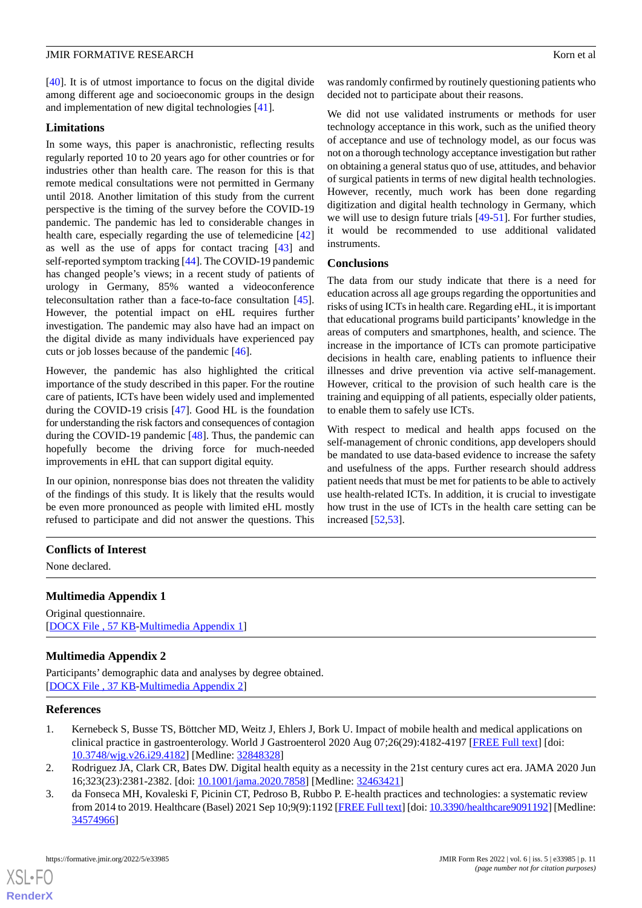[[40\]](#page-12-13). It is of utmost importance to focus on the digital divide among different age and socioeconomic groups in the design and implementation of new digital technologies [[41\]](#page-12-14).

#### **Limitations**

In some ways, this paper is anachronistic, reflecting results regularly reported 10 to 20 years ago for other countries or for industries other than health care. The reason for this is that remote medical consultations were not permitted in Germany until 2018. Another limitation of this study from the current perspective is the timing of the survey before the COVID-19 pandemic. The pandemic has led to considerable changes in health care, especially regarding the use of telemedicine [\[42](#page-12-15)] as well as the use of apps for contact tracing [\[43](#page-12-16)] and self-reported symptom tracking [[44\]](#page-12-17). The COVID-19 pandemic has changed people's views; in a recent study of patients of urology in Germany, 85% wanted a videoconference teleconsultation rather than a face-to-face consultation [[45\]](#page-12-18). However, the potential impact on eHL requires further investigation. The pandemic may also have had an impact on the digital divide as many individuals have experienced pay cuts or job losses because of the pandemic [\[46](#page-12-19)].

However, the pandemic has also highlighted the critical importance of the study described in this paper. For the routine care of patients, ICTs have been widely used and implemented during the COVID-19 crisis [\[47](#page-12-20)]. Good HL is the foundation for understanding the risk factors and consequences of contagion during the COVID-19 pandemic [[48\]](#page-12-21). Thus, the pandemic can hopefully become the driving force for much-needed improvements in eHL that can support digital equity.

In our opinion, nonresponse bias does not threaten the validity of the findings of this study. It is likely that the results would be even more pronounced as people with limited eHL mostly refused to participate and did not answer the questions. This

was randomly confirmed by routinely questioning patients who decided not to participate about their reasons.

We did not use validated instruments or methods for user technology acceptance in this work, such as the unified theory of acceptance and use of technology model, as our focus was not on a thorough technology acceptance investigation but rather on obtaining a general status quo of use, attitudes, and behavior of surgical patients in terms of new digital health technologies. However, recently, much work has been done regarding digitization and digital health technology in Germany, which we will use to design future trials [\[49](#page-12-22)-[51\]](#page-13-0). For further studies, it would be recommended to use additional validated instruments.

#### **Conclusions**

The data from our study indicate that there is a need for education across all age groups regarding the opportunities and risks of using ICTs in health care. Regarding eHL, it is important that educational programs build participants' knowledge in the areas of computers and smartphones, health, and science. The increase in the importance of ICTs can promote participative decisions in health care, enabling patients to influence their illnesses and drive prevention via active self-management. However, critical to the provision of such health care is the training and equipping of all patients, especially older patients, to enable them to safely use ICTs.

With respect to medical and health apps focused on the self-management of chronic conditions, app developers should be mandated to use data-based evidence to increase the safety and usefulness of the apps. Further research should address patient needs that must be met for patients to be able to actively use health-related ICTs. In addition, it is crucial to investigate how trust in the use of ICTs in the health care setting can be increased [\[52](#page-13-1),[53\]](#page-13-2).

#### <span id="page-10-3"></span>**Conflicts of Interest**

None declared.

#### <span id="page-10-4"></span>**Multimedia Appendix 1**

Original questionnaire. [[DOCX File , 57 KB](https://jmir.org/api/download?alt_name=formative_v6i5e33985_app1.docx&filename=3445fbd1427777091aac8f0caa54ecf5.docx)-[Multimedia Appendix 1\]](https://jmir.org/api/download?alt_name=formative_v6i5e33985_app1.docx&filename=3445fbd1427777091aac8f0caa54ecf5.docx)

#### <span id="page-10-0"></span>**Multimedia Appendix 2**

Participants' demographic data and analyses by degree obtained. [[DOCX File , 37 KB](https://jmir.org/api/download?alt_name=formative_v6i5e33985_app2.docx&filename=9ebd29f1d8467848a137d3f6a0785c24.docx)-[Multimedia Appendix 2\]](https://jmir.org/api/download?alt_name=formative_v6i5e33985_app2.docx&filename=9ebd29f1d8467848a137d3f6a0785c24.docx)

#### <span id="page-10-2"></span><span id="page-10-1"></span>**References**

- 1. Kernebeck S, Busse TS, Böttcher MD, Weitz J, Ehlers J, Bork U. Impact of mobile health and medical applications on clinical practice in gastroenterology. World J Gastroenterol 2020 Aug 07;26(29):4182-4197 [[FREE Full text\]](https://www.wjgnet.com/1007-9327/full/v26/i29/4182.htm) [doi: [10.3748/wjg.v26.i29.4182](http://dx.doi.org/10.3748/wjg.v26.i29.4182)] [Medline: [32848328\]](http://www.ncbi.nlm.nih.gov/entrez/query.fcgi?cmd=Retrieve&db=PubMed&list_uids=32848328&dopt=Abstract)
- 2. Rodriguez JA, Clark CR, Bates DW. Digital health equity as a necessity in the 21st century cures act era. JAMA 2020 Jun 16;323(23):2381-2382. [doi: [10.1001/jama.2020.7858](http://dx.doi.org/10.1001/jama.2020.7858)] [Medline: [32463421\]](http://www.ncbi.nlm.nih.gov/entrez/query.fcgi?cmd=Retrieve&db=PubMed&list_uids=32463421&dopt=Abstract)
- 3. da Fonseca MH, Kovaleski F, Picinin CT, Pedroso B, Rubbo P. E-health practices and technologies: a systematic review from 2014 to 2019. Healthcare (Basel) 2021 Sep 10;9(9):1192 [[FREE Full text\]](https://www.mdpi.com/resolver?pii=healthcare9091192) [doi: [10.3390/healthcare9091192](http://dx.doi.org/10.3390/healthcare9091192)] [Medline: [34574966](http://www.ncbi.nlm.nih.gov/entrez/query.fcgi?cmd=Retrieve&db=PubMed&list_uids=34574966&dopt=Abstract)]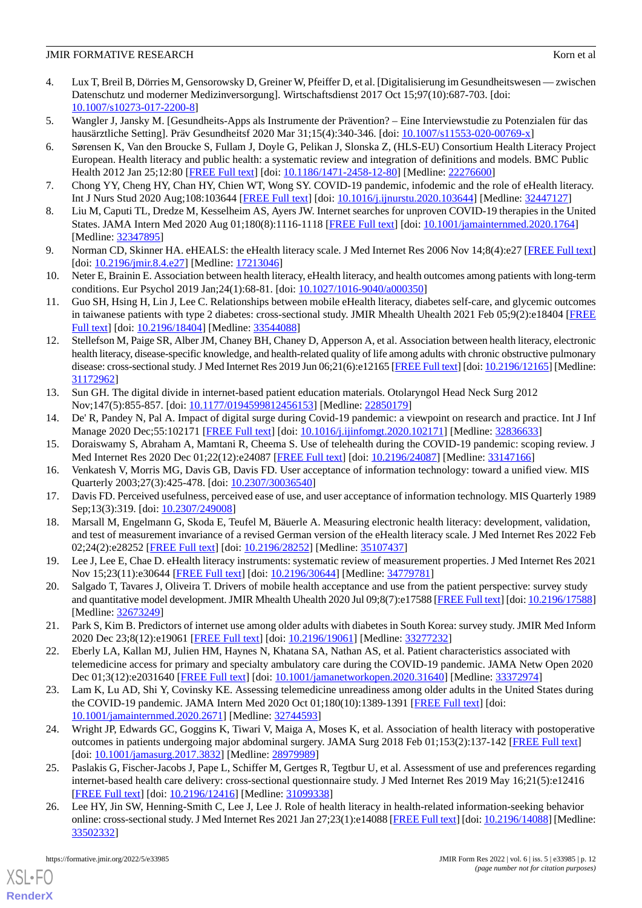#### **JMIR FORMATIVE RESEARCH** Korn et al. **EXAMPLE RESEARCH**

- <span id="page-11-0"></span>4. Lux T, Breil B, Dörries M, Gensorowsky D, Greiner W, Pfeiffer D, et al. [Digitalisierung im Gesundheitswesen — zwischen Datenschutz und moderner Medizinversorgung]. Wirtschaftsdienst 2017 Oct 15;97(10):687-703. [doi: [10.1007/s10273-017-2200-8\]](http://dx.doi.org/10.1007/s10273-017-2200-8)
- <span id="page-11-2"></span><span id="page-11-1"></span>5. Wangler J, Jansky M. [Gesundheits-Apps als Instrumente der Prävention? – Eine Interviewstudie zu Potenzialen für das hausärztliche Setting]. Präv Gesundheitsf 2020 Mar 31;15(4):340-346. [doi: [10.1007/s11553-020-00769-x](http://dx.doi.org/10.1007/s11553-020-00769-x)]
- 6. Sørensen K, Van den Broucke S, Fullam J, Doyle G, Pelikan J, Slonska Z, (HLS-EU) Consortium Health Literacy Project European. Health literacy and public health: a systematic review and integration of definitions and models. BMC Public Health 2012 Jan 25;12:80 [\[FREE Full text\]](https://bmcpublichealth.biomedcentral.com/articles/10.1186/1471-2458-12-80) [doi: [10.1186/1471-2458-12-80](http://dx.doi.org/10.1186/1471-2458-12-80)] [Medline: [22276600](http://www.ncbi.nlm.nih.gov/entrez/query.fcgi?cmd=Retrieve&db=PubMed&list_uids=22276600&dopt=Abstract)]
- <span id="page-11-4"></span><span id="page-11-3"></span>7. Chong YY, Cheng HY, Chan HY, Chien WT, Wong SY. COVID-19 pandemic, infodemic and the role of eHealth literacy. Int J Nurs Stud 2020 Aug;108:103644 [\[FREE Full text\]](http://europepmc.org/abstract/MED/32447127) [doi: [10.1016/j.ijnurstu.2020.103644](http://dx.doi.org/10.1016/j.ijnurstu.2020.103644)] [Medline: [32447127\]](http://www.ncbi.nlm.nih.gov/entrez/query.fcgi?cmd=Retrieve&db=PubMed&list_uids=32447127&dopt=Abstract)
- <span id="page-11-5"></span>8. Liu M, Caputi TL, Dredze M, Kesselheim AS, Ayers JW. Internet searches for unproven COVID-19 therapies in the United States. JAMA Intern Med 2020 Aug 01;180(8):1116-1118 [\[FREE Full text\]](http://europepmc.org/abstract/MED/32347895) [doi: [10.1001/jamainternmed.2020.1764](http://dx.doi.org/10.1001/jamainternmed.2020.1764)] [Medline: [32347895](http://www.ncbi.nlm.nih.gov/entrez/query.fcgi?cmd=Retrieve&db=PubMed&list_uids=32347895&dopt=Abstract)]
- <span id="page-11-6"></span>9. Norman CD, Skinner HA. eHEALS: the eHealth literacy scale. J Med Internet Res 2006 Nov 14;8(4):e27 [[FREE Full text](https://www.jmir.org/2006/4/e27/)] [doi: [10.2196/jmir.8.4.e27](http://dx.doi.org/10.2196/jmir.8.4.e27)] [Medline: [17213046](http://www.ncbi.nlm.nih.gov/entrez/query.fcgi?cmd=Retrieve&db=PubMed&list_uids=17213046&dopt=Abstract)]
- 10. Neter E, Brainin E. Association between health literacy, eHealth literacy, and health outcomes among patients with long-term conditions. Eur Psychol 2019 Jan;24(1):68-81. [doi: [10.1027/1016-9040/a000350\]](http://dx.doi.org/10.1027/1016-9040/a000350)
- <span id="page-11-7"></span>11. Guo SH, Hsing H, Lin J, Lee C. Relationships between mobile eHealth literacy, diabetes self-care, and glycemic outcomes in taiwanese patients with type 2 diabetes: cross-sectional study. JMIR Mhealth Uhealth 2021 Feb 05;9(2):e18404 [\[FREE](https://mhealth.jmir.org/2021/2/e18404/) [Full text\]](https://mhealth.jmir.org/2021/2/e18404/) [doi: [10.2196/18404\]](http://dx.doi.org/10.2196/18404) [Medline: [33544088](http://www.ncbi.nlm.nih.gov/entrez/query.fcgi?cmd=Retrieve&db=PubMed&list_uids=33544088&dopt=Abstract)]
- <span id="page-11-8"></span>12. Stellefson M, Paige SR, Alber JM, Chaney BH, Chaney D, Apperson A, et al. Association between health literacy, electronic health literacy, disease-specific knowledge, and health-related quality of life among adults with chronic obstructive pulmonary disease: cross-sectional study. J Med Internet Res 2019 Jun 06;21(6):e12165 [\[FREE Full text](https://www.jmir.org/2019/6/e12165/)] [doi: [10.2196/12165\]](http://dx.doi.org/10.2196/12165) [Medline: [31172962](http://www.ncbi.nlm.nih.gov/entrez/query.fcgi?cmd=Retrieve&db=PubMed&list_uids=31172962&dopt=Abstract)]
- <span id="page-11-10"></span><span id="page-11-9"></span>13. Sun GH. The digital divide in internet-based patient education materials. Otolaryngol Head Neck Surg 2012 Nov;147(5):855-857. [doi: [10.1177/0194599812456153\]](http://dx.doi.org/10.1177/0194599812456153) [Medline: [22850179\]](http://www.ncbi.nlm.nih.gov/entrez/query.fcgi?cmd=Retrieve&db=PubMed&list_uids=22850179&dopt=Abstract)
- <span id="page-11-11"></span>14. De' R, Pandey N, Pal A. Impact of digital surge during Covid-19 pandemic: a viewpoint on research and practice. Int J Inf Manage 2020 Dec;55:102171 [\[FREE Full text\]](http://europepmc.org/abstract/MED/32836633) [doi: [10.1016/j.ijinfomgt.2020.102171\]](http://dx.doi.org/10.1016/j.ijinfomgt.2020.102171) [Medline: [32836633](http://www.ncbi.nlm.nih.gov/entrez/query.fcgi?cmd=Retrieve&db=PubMed&list_uids=32836633&dopt=Abstract)]
- <span id="page-11-12"></span>15. Doraiswamy S, Abraham A, Mamtani R, Cheema S. Use of telehealth during the COVID-19 pandemic: scoping review. J Med Internet Res 2020 Dec 01;22(12):e24087 [\[FREE Full text\]](https://www.jmir.org/2020/12/e24087/) [doi: [10.2196/24087\]](http://dx.doi.org/10.2196/24087) [Medline: [33147166\]](http://www.ncbi.nlm.nih.gov/entrez/query.fcgi?cmd=Retrieve&db=PubMed&list_uids=33147166&dopt=Abstract)
- <span id="page-11-13"></span>16. Venkatesh V, Morris MG, Davis GB, Davis FD. User acceptance of information technology: toward a unified view. MIS Quarterly 2003;27(3):425-478. [doi: [10.2307/30036540\]](http://dx.doi.org/10.2307/30036540)
- 17. Davis FD. Perceived usefulness, perceived ease of use, and user acceptance of information technology. MIS Quarterly 1989 Sep;13(3):319. [doi: [10.2307/249008](http://dx.doi.org/10.2307/249008)]
- <span id="page-11-14"></span>18. Marsall M, Engelmann G, Skoda E, Teufel M, Bäuerle A. Measuring electronic health literacy: development, validation, and test of measurement invariance of a revised German version of the eHealth literacy scale. J Med Internet Res 2022 Feb 02;24(2):e28252 [\[FREE Full text](https://www.jmir.org/2022/2/e28252/)] [doi: [10.2196/28252\]](http://dx.doi.org/10.2196/28252) [Medline: [35107437\]](http://www.ncbi.nlm.nih.gov/entrez/query.fcgi?cmd=Retrieve&db=PubMed&list_uids=35107437&dopt=Abstract)
- <span id="page-11-15"></span>19. Lee J, Lee E, Chae D. eHealth literacy instruments: systematic review of measurement properties. J Med Internet Res 2021 Nov 15;23(11):e30644 [[FREE Full text](https://www.jmir.org/2021/11/e30644/)] [doi: [10.2196/30644\]](http://dx.doi.org/10.2196/30644) [Medline: [34779781](http://www.ncbi.nlm.nih.gov/entrez/query.fcgi?cmd=Retrieve&db=PubMed&list_uids=34779781&dopt=Abstract)]
- <span id="page-11-19"></span>20. Salgado T, Tavares J, Oliveira T. Drivers of mobile health acceptance and use from the patient perspective: survey study and quantitative model development. JMIR Mhealth Uhealth 2020 Jul 09;8(7):e17588 [[FREE Full text](https://mhealth.jmir.org/2020/7/e17588/)] [doi: [10.2196/17588\]](http://dx.doi.org/10.2196/17588) [Medline: [32673249](http://www.ncbi.nlm.nih.gov/entrez/query.fcgi?cmd=Retrieve&db=PubMed&list_uids=32673249&dopt=Abstract)]
- 21. Park S, Kim B. Predictors of internet use among older adults with diabetes in South Korea: survey study. JMIR Med Inform 2020 Dec 23;8(12):e19061 [\[FREE Full text](https://medinform.jmir.org/2020/12/e19061/)] [doi: [10.2196/19061](http://dx.doi.org/10.2196/19061)] [Medline: [33277232\]](http://www.ncbi.nlm.nih.gov/entrez/query.fcgi?cmd=Retrieve&db=PubMed&list_uids=33277232&dopt=Abstract)
- <span id="page-11-16"></span>22. Eberly LA, Kallan MJ, Julien HM, Haynes N, Khatana SA, Nathan AS, et al. Patient characteristics associated with telemedicine access for primary and specialty ambulatory care during the COVID-19 pandemic. JAMA Netw Open 2020 Dec 01;3(12):e2031640 [[FREE Full text](https://jamanetwork.com/journals/jamanetworkopen/fullarticle/10.1001/jamanetworkopen.2020.31640)] [doi: [10.1001/jamanetworkopen.2020.31640\]](http://dx.doi.org/10.1001/jamanetworkopen.2020.31640) [Medline: [33372974\]](http://www.ncbi.nlm.nih.gov/entrez/query.fcgi?cmd=Retrieve&db=PubMed&list_uids=33372974&dopt=Abstract)
- <span id="page-11-17"></span>23. Lam K, Lu AD, Shi Y, Covinsky KE. Assessing telemedicine unreadiness among older adults in the United States during the COVID-19 pandemic. JAMA Intern Med 2020 Oct 01;180(10):1389-1391 [\[FREE Full text\]](http://europepmc.org/abstract/MED/32744593) [doi: [10.1001/jamainternmed.2020.2671\]](http://dx.doi.org/10.1001/jamainternmed.2020.2671) [Medline: [32744593\]](http://www.ncbi.nlm.nih.gov/entrez/query.fcgi?cmd=Retrieve&db=PubMed&list_uids=32744593&dopt=Abstract)
- <span id="page-11-18"></span>24. Wright JP, Edwards GC, Goggins K, Tiwari V, Maiga A, Moses K, et al. Association of health literacy with postoperative outcomes in patients undergoing major abdominal surgery. JAMA Surg 2018 Feb 01;153(2):137-142 [[FREE Full text\]](http://europepmc.org/abstract/MED/28979989) [doi: [10.1001/jamasurg.2017.3832\]](http://dx.doi.org/10.1001/jamasurg.2017.3832) [Medline: [28979989](http://www.ncbi.nlm.nih.gov/entrez/query.fcgi?cmd=Retrieve&db=PubMed&list_uids=28979989&dopt=Abstract)]
- 25. Paslakis G, Fischer-Jacobs J, Pape L, Schiffer M, Gertges R, Tegtbur U, et al. Assessment of use and preferences regarding internet-based health care delivery: cross-sectional questionnaire study. J Med Internet Res 2019 May 16;21(5):e12416 [[FREE Full text](https://www.jmir.org/2019/5/e12416/)] [doi: [10.2196/12416\]](http://dx.doi.org/10.2196/12416) [Medline: [31099338\]](http://www.ncbi.nlm.nih.gov/entrez/query.fcgi?cmd=Retrieve&db=PubMed&list_uids=31099338&dopt=Abstract)
- 26. Lee HY, Jin SW, Henning-Smith C, Lee J, Lee J. Role of health literacy in health-related information-seeking behavior online: cross-sectional study. J Med Internet Res 2021 Jan 27;23(1):e14088 [[FREE Full text](https://www.jmir.org/2021/1/e14088/)] [doi: [10.2196/14088\]](http://dx.doi.org/10.2196/14088) [Medline: [33502332](http://www.ncbi.nlm.nih.gov/entrez/query.fcgi?cmd=Retrieve&db=PubMed&list_uids=33502332&dopt=Abstract)]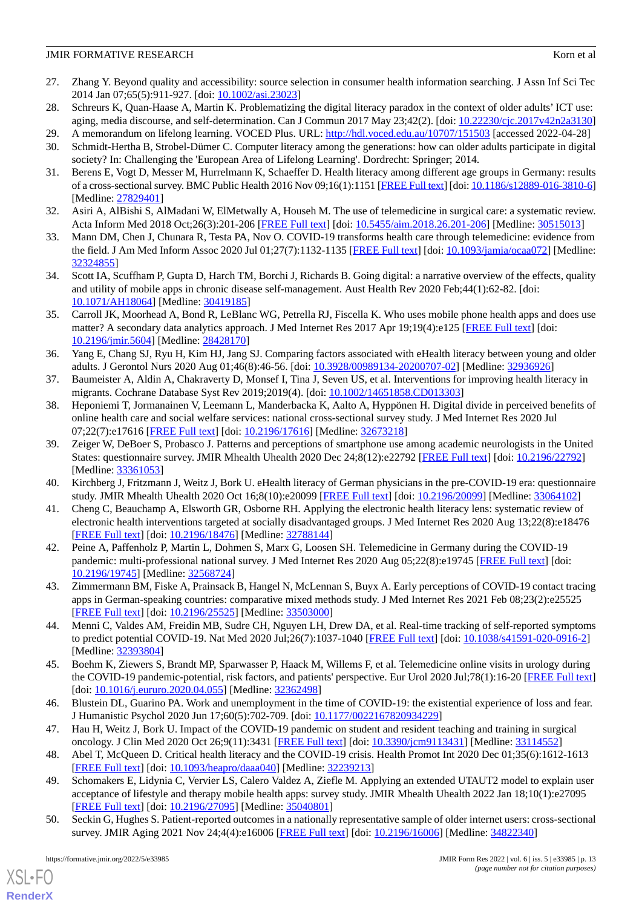#### **JMIR FORMATIVE RESEARCH** Korn et al. **EXAMPLE RESEARCH**

- <span id="page-12-0"></span>27. Zhang Y. Beyond quality and accessibility: source selection in consumer health information searching. J Assn Inf Sci Tec 2014 Jan 07;65(5):911-927. [doi: [10.1002/asi.23023\]](http://dx.doi.org/10.1002/asi.23023)
- <span id="page-12-2"></span><span id="page-12-1"></span>28. Schreurs K, Quan-Haase A, Martin K. Problematizing the digital literacy paradox in the context of older adults' ICT use: aging, media discourse, and self-determination. Can J Commun 2017 May 23;42(2). [doi:  $\underline{10.22230/cjc.2017v42n2a3130}$  $\underline{10.22230/cjc.2017v42n2a3130}$  $\underline{10.22230/cjc.2017v42n2a3130}$ ]
- <span id="page-12-3"></span>29. A memorandum on lifelong learning. VOCED Plus. URL:<http://hdl.voced.edu.au/10707/151503> [accessed 2022-04-28]
- <span id="page-12-4"></span>30. Schmidt-Hertha B, Strobel-Dümer C. Computer literacy among the generations: how can older adults participate in digital society? In: Challenging the 'European Area of Lifelong Learning'. Dordrecht: Springer; 2014.
- <span id="page-12-5"></span>31. Berens E, Vogt D, Messer M, Hurrelmann K, Schaeffer D. Health literacy among different age groups in Germany: results of a cross-sectional survey. BMC Public Health 2016 Nov 09;16(1):1151 [\[FREE Full text\]](https://bmcpublichealth.biomedcentral.com/articles/10.1186/s12889-016-3810-6) [doi: [10.1186/s12889-016-3810-6\]](http://dx.doi.org/10.1186/s12889-016-3810-6) [Medline: [27829401](http://www.ncbi.nlm.nih.gov/entrez/query.fcgi?cmd=Retrieve&db=PubMed&list_uids=27829401&dopt=Abstract)]
- <span id="page-12-6"></span>32. Asiri A, AlBishi S, AlMadani W, ElMetwally A, Househ M. The use of telemedicine in surgical care: a systematic review. Acta Inform Med 2018 Oct;26(3):201-206 [\[FREE Full text\]](http://europepmc.org/abstract/MED/30515013) [doi: [10.5455/aim.2018.26.201-206](http://dx.doi.org/10.5455/aim.2018.26.201-206)] [Medline: [30515013\]](http://www.ncbi.nlm.nih.gov/entrez/query.fcgi?cmd=Retrieve&db=PubMed&list_uids=30515013&dopt=Abstract)
- <span id="page-12-7"></span>33. Mann DM, Chen J, Chunara R, Testa PA, Nov O. COVID-19 transforms health care through telemedicine: evidence from the field. J Am Med Inform Assoc 2020 Jul 01;27(7):1132-1135 [\[FREE Full text](http://europepmc.org/abstract/MED/32324855)] [doi: [10.1093/jamia/ocaa072\]](http://dx.doi.org/10.1093/jamia/ocaa072) [Medline: [32324855](http://www.ncbi.nlm.nih.gov/entrez/query.fcgi?cmd=Retrieve&db=PubMed&list_uids=32324855&dopt=Abstract)]
- <span id="page-12-8"></span>34. Scott IA, Scuffham P, Gupta D, Harch TM, Borchi J, Richards B. Going digital: a narrative overview of the effects, quality and utility of mobile apps in chronic disease self-management. Aust Health Rev 2020 Feb;44(1):62-82. [doi: [10.1071/AH18064](http://dx.doi.org/10.1071/AH18064)] [Medline: [30419185](http://www.ncbi.nlm.nih.gov/entrez/query.fcgi?cmd=Retrieve&db=PubMed&list_uids=30419185&dopt=Abstract)]
- <span id="page-12-9"></span>35. Carroll JK, Moorhead A, Bond R, LeBlanc WG, Petrella RJ, Fiscella K. Who uses mobile phone health apps and does use matter? A secondary data analytics approach. J Med Internet Res 2017 Apr 19;19(4):e125 [[FREE Full text](https://www.jmir.org/2017/4/e125/)] [doi: [10.2196/jmir.5604](http://dx.doi.org/10.2196/jmir.5604)] [Medline: [28428170](http://www.ncbi.nlm.nih.gov/entrez/query.fcgi?cmd=Retrieve&db=PubMed&list_uids=28428170&dopt=Abstract)]
- <span id="page-12-11"></span><span id="page-12-10"></span>36. Yang E, Chang SJ, Ryu H, Kim HJ, Jang SJ. Comparing factors associated with eHealth literacy between young and older adults. J Gerontol Nurs 2020 Aug 01;46(8):46-56. [doi: [10.3928/00989134-20200707-02\]](http://dx.doi.org/10.3928/00989134-20200707-02) [Medline: [32936926\]](http://www.ncbi.nlm.nih.gov/entrez/query.fcgi?cmd=Retrieve&db=PubMed&list_uids=32936926&dopt=Abstract)
- 37. Baumeister A, Aldin A, Chakraverty D, Monsef I, Tina J, Seven US, et al. Interventions for improving health literacy in migrants. Cochrane Database Syst Rev 2019;2019(4). [doi: [10.1002/14651858.CD013303](http://dx.doi.org/10.1002/14651858.CD013303)]
- <span id="page-12-12"></span>38. Heponiemi T, Jormanainen V, Leemann L, Manderbacka K, Aalto A, Hyppönen H. Digital divide in perceived benefits of online health care and social welfare services: national cross-sectional survey study. J Med Internet Res 2020 Jul 07;22(7):e17616 [\[FREE Full text](https://www.jmir.org/2020/7/e17616/)] [doi: [10.2196/17616\]](http://dx.doi.org/10.2196/17616) [Medline: [32673218\]](http://www.ncbi.nlm.nih.gov/entrez/query.fcgi?cmd=Retrieve&db=PubMed&list_uids=32673218&dopt=Abstract)
- <span id="page-12-14"></span><span id="page-12-13"></span>39. Zeiger W, DeBoer S, Probasco J. Patterns and perceptions of smartphone use among academic neurologists in the United States: questionnaire survey. JMIR Mhealth Uhealth 2020 Dec 24;8(12):e22792 [[FREE Full text](https://mhealth.jmir.org/2020/12/e22792/)] [doi: [10.2196/22792\]](http://dx.doi.org/10.2196/22792) [Medline: [33361053](http://www.ncbi.nlm.nih.gov/entrez/query.fcgi?cmd=Retrieve&db=PubMed&list_uids=33361053&dopt=Abstract)]
- <span id="page-12-15"></span>40. Kirchberg J, Fritzmann J, Weitz J, Bork U. eHealth literacy of German physicians in the pre-COVID-19 era: questionnaire study. JMIR Mhealth Uhealth 2020 Oct 16;8(10):e20099 [[FREE Full text](https://mhealth.jmir.org/2020/10/e20099/)] [doi: [10.2196/20099\]](http://dx.doi.org/10.2196/20099) [Medline: [33064102](http://www.ncbi.nlm.nih.gov/entrez/query.fcgi?cmd=Retrieve&db=PubMed&list_uids=33064102&dopt=Abstract)]
- <span id="page-12-16"></span>41. Cheng C, Beauchamp A, Elsworth GR, Osborne RH. Applying the electronic health literacy lens: systematic review of electronic health interventions targeted at socially disadvantaged groups. J Med Internet Res 2020 Aug 13;22(8):e18476 [[FREE Full text](https://www.jmir.org/2020/8/e18476/)] [doi: [10.2196/18476\]](http://dx.doi.org/10.2196/18476) [Medline: [32788144\]](http://www.ncbi.nlm.nih.gov/entrez/query.fcgi?cmd=Retrieve&db=PubMed&list_uids=32788144&dopt=Abstract)
- <span id="page-12-17"></span>42. Peine A, Paffenholz P, Martin L, Dohmen S, Marx G, Loosen SH. Telemedicine in Germany during the COVID-19 pandemic: multi-professional national survey. J Med Internet Res 2020 Aug 05;22(8):e19745 [[FREE Full text](https://www.jmir.org/2020/8/e19745/)] [doi: [10.2196/19745\]](http://dx.doi.org/10.2196/19745) [Medline: [32568724\]](http://www.ncbi.nlm.nih.gov/entrez/query.fcgi?cmd=Retrieve&db=PubMed&list_uids=32568724&dopt=Abstract)
- <span id="page-12-18"></span>43. Zimmermann BM, Fiske A, Prainsack B, Hangel N, McLennan S, Buyx A. Early perceptions of COVID-19 contact tracing apps in German-speaking countries: comparative mixed methods study. J Med Internet Res 2021 Feb 08;23(2):e25525 [[FREE Full text](https://www.jmir.org/2021/2/e25525/)] [doi: [10.2196/25525\]](http://dx.doi.org/10.2196/25525) [Medline: [33503000\]](http://www.ncbi.nlm.nih.gov/entrez/query.fcgi?cmd=Retrieve&db=PubMed&list_uids=33503000&dopt=Abstract)
- <span id="page-12-19"></span>44. Menni C, Valdes AM, Freidin MB, Sudre CH, Nguyen LH, Drew DA, et al. Real-time tracking of self-reported symptoms to predict potential COVID-19. Nat Med 2020 Jul;26(7):1037-1040 [\[FREE Full text\]](http://europepmc.org/abstract/MED/32393804) [doi: [10.1038/s41591-020-0916-2](http://dx.doi.org/10.1038/s41591-020-0916-2)] [Medline: [32393804](http://www.ncbi.nlm.nih.gov/entrez/query.fcgi?cmd=Retrieve&db=PubMed&list_uids=32393804&dopt=Abstract)]
- <span id="page-12-21"></span><span id="page-12-20"></span>45. Boehm K, Ziewers S, Brandt MP, Sparwasser P, Haack M, Willems F, et al. Telemedicine online visits in urology during the COVID-19 pandemic-potential, risk factors, and patients' perspective. Eur Urol 2020 Jul;78(1):16-20 [\[FREE Full text](http://europepmc.org/abstract/MED/32362498)] [doi: [10.1016/j.eururo.2020.04.055](http://dx.doi.org/10.1016/j.eururo.2020.04.055)] [Medline: [32362498\]](http://www.ncbi.nlm.nih.gov/entrez/query.fcgi?cmd=Retrieve&db=PubMed&list_uids=32362498&dopt=Abstract)
- <span id="page-12-22"></span>46. Blustein DL, Guarino PA. Work and unemployment in the time of COVID-19: the existential experience of loss and fear. J Humanistic Psychol 2020 Jun 17;60(5):702-709. [doi: [10.1177/0022167820934229\]](http://dx.doi.org/10.1177/0022167820934229)
- 47. Hau H, Weitz J, Bork U. Impact of the COVID-19 pandemic on student and resident teaching and training in surgical oncology. J Clin Med 2020 Oct 26;9(11):3431 [[FREE Full text\]](https://www.mdpi.com/resolver?pii=jcm9113431) [doi: [10.3390/jcm9113431](http://dx.doi.org/10.3390/jcm9113431)] [Medline: [33114552](http://www.ncbi.nlm.nih.gov/entrez/query.fcgi?cmd=Retrieve&db=PubMed&list_uids=33114552&dopt=Abstract)]
- 48. Abel T, McQueen D. Critical health literacy and the COVID-19 crisis. Health Promot Int 2020 Dec 01;35(6):1612-1613 [[FREE Full text](http://europepmc.org/abstract/MED/32239213)] [doi: [10.1093/heapro/daaa040](http://dx.doi.org/10.1093/heapro/daaa040)] [Medline: [32239213\]](http://www.ncbi.nlm.nih.gov/entrez/query.fcgi?cmd=Retrieve&db=PubMed&list_uids=32239213&dopt=Abstract)
- 49. Schomakers E, Lidynia C, Vervier LS, Calero Valdez A, Ziefle M. Applying an extended UTAUT2 model to explain user acceptance of lifestyle and therapy mobile health apps: survey study. JMIR Mhealth Uhealth 2022 Jan 18;10(1):e27095 [[FREE Full text](https://mhealth.jmir.org/2022/1/e27095/)] [doi: [10.2196/27095\]](http://dx.doi.org/10.2196/27095) [Medline: [35040801\]](http://www.ncbi.nlm.nih.gov/entrez/query.fcgi?cmd=Retrieve&db=PubMed&list_uids=35040801&dopt=Abstract)
- 50. Seckin G, Hughes S. Patient-reported outcomes in a nationally representative sample of older internet users: cross-sectional survey. JMIR Aging 2021 Nov 24;4(4):e16006 [[FREE Full text\]](https://aging.jmir.org/2021/4/e16006/) [doi: [10.2196/16006\]](http://dx.doi.org/10.2196/16006) [Medline: [34822340](http://www.ncbi.nlm.nih.gov/entrez/query.fcgi?cmd=Retrieve&db=PubMed&list_uids=34822340&dopt=Abstract)]

 $XS$  • FO **[RenderX](http://www.renderx.com/)**